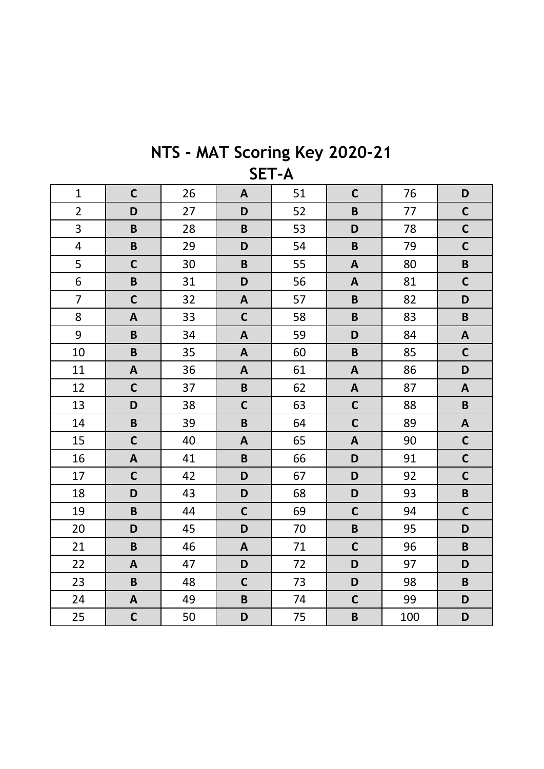| $\mathbf{1}$            | $\mathbf C$               | 26 | $\mathbf{A}$              | 51 | $\mathsf{C}$              | 76  | D                         |  |
|-------------------------|---------------------------|----|---------------------------|----|---------------------------|-----|---------------------------|--|
| $\overline{2}$          | D                         | 27 | D                         | 52 | $\overline{B}$            | 77  | $\mathbf C$               |  |
| 3                       | $\pmb B$                  | 28 | $\mathsf B$               | 53 | D                         | 78  | $\mathbf C$               |  |
| $\overline{\mathbf{4}}$ | $\pmb B$                  | 29 | D                         | 54 | $\pmb B$                  | 79  | $\mathbf C$               |  |
| 5                       | $\mathbf C$               | 30 | $\, {\bf B}$              | 55 | $\mathbf{A}$              | 80  | $\pmb B$                  |  |
| 6                       | $\pmb B$                  | 31 | D                         | 56 | $\mathbf{A}$              | 81  | $\mathbf C$               |  |
| $\overline{7}$          | $\mathsf{C}$              | 32 | $\mathbf{A}$              | 57 | $\mathbf B$               | 82  | D                         |  |
| 8                       | $\mathbf{A}$              | 33 | $\mathsf{C}$              | 58 | $\pmb B$                  | 83  | $\pmb B$                  |  |
| 9                       | $\mathbf B$               | 34 | $\mathbf{A}$              | 59 | D                         | 84  | $\boldsymbol{\mathsf{A}}$ |  |
| 10                      | $\pmb B$                  | 35 | $\mathbf{A}$              | 60 | $\mathsf B$               | 85  | $\mathbf C$               |  |
| 11                      | $\boldsymbol{\mathsf{A}}$ | 36 | $\mathbf{A}$              | 61 | $\boldsymbol{\mathsf{A}}$ | 86  | D                         |  |
| 12                      | $\mathbf C$               | 37 | $\pmb B$                  | 62 | $\boldsymbol{\mathsf{A}}$ | 87  | $\boldsymbol{\mathsf{A}}$ |  |
| 13                      | D                         | 38 | $\mathsf{C}$              | 63 | $\mathsf{C}$              | 88  | $\pmb B$                  |  |
| 14                      | $\pmb B$                  | 39 | $\pmb B$                  | 64 | $\mathsf{C}$              | 89  | $\boldsymbol{\mathsf{A}}$ |  |
| 15                      | $\mathbf C$               | 40 | $\mathbf{A}$              | 65 | $\mathbf{A}$              | 90  | $\mathbf C$               |  |
| 16                      | $\boldsymbol{\mathsf{A}}$ | 41 | $\pmb B$                  | 66 | D                         | 91  | $\mathbf C$               |  |
| 17                      | $\mathbf C$               | 42 | D                         | 67 | D                         | 92  | $\mathbf C$               |  |
| 18                      | D                         | 43 | D                         | 68 | D                         | 93  | $\pmb B$                  |  |
| 19                      | $\mathbf B$               | 44 | $\mathsf{C}$              | 69 | $\mathsf{C}$              | 94  | $\mathbf C$               |  |
| 20                      | D                         | 45 | D                         | 70 | $\pmb B$                  | 95  | D                         |  |
| 21                      | $\pmb B$                  | 46 | $\boldsymbol{\mathsf{A}}$ | 71 | $\mathsf{C}$              | 96  | $\mathsf B$               |  |
| 22                      | $\mathbf{A}$              | 47 | D                         | 72 | D                         | 97  | D                         |  |
| 23                      | $\pmb B$                  | 48 | $\mathsf{C}$              | 73 | D                         | 98  | $\pmb B$                  |  |
| 24                      | $\pmb{\mathsf{A}}$        | 49 | $\mathbf B$               | 74 | $\mathsf{C}$              | 99  | D                         |  |
| 25                      | $\mathbf C$               | 50 | D                         | 75 | $\mathsf B$               | 100 | D                         |  |

NTS - MAT Scoring Key 2020-21 SET-A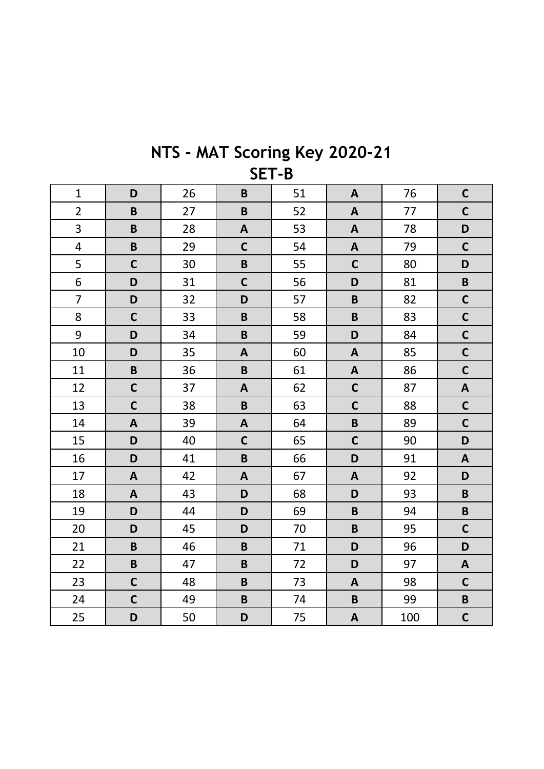| $\mathbf{1}$            | D                       | 26 | $\mathbf B$               | 51 | $\mathbf{A}$              | 76  | $\mathbf C$               |  |
|-------------------------|-------------------------|----|---------------------------|----|---------------------------|-----|---------------------------|--|
| $\overline{2}$          | $\mathbf B$             | 27 | $\pmb B$                  | 52 | $\boldsymbol{\mathsf{A}}$ | 77  | $\mathbf C$               |  |
| 3                       | $\mathbf B$             | 28 | $\boldsymbol{A}$          | 53 | $\boldsymbol{\mathsf{A}}$ | 78  | D                         |  |
| $\overline{\mathbf{4}}$ | $\overline{\mathbf{B}}$ | 29 | $\mathsf{C}$              | 54 | $\boldsymbol{\mathsf{A}}$ | 79  | $\mathbf C$               |  |
| 5                       | $\mathbf C$             | 30 | $\pmb B$                  | 55 | $\mathsf{C}$              | 80  | D                         |  |
| 6                       | D                       | 31 | $\mathsf{C}$              | 56 | D                         | 81  | $\pmb B$                  |  |
| $\overline{7}$          | D                       | 32 | D                         | 57 | $\pmb B$                  | 82  | $\mathbf C$               |  |
| 8                       | $\mathbf C$             | 33 | $\mathsf B$               | 58 | $\pmb B$                  | 83  | $\mathbf C$               |  |
| 9                       | D                       | 34 | $\pmb B$                  | 59 | D                         | 84  | $\mathsf{C}$              |  |
| 10                      | D                       | 35 | $\boldsymbol{\mathsf{A}}$ | 60 | $\mathbf{A}$              | 85  | $\mathsf{C}$              |  |
| 11                      | $\pmb B$                | 36 | $\pmb B$                  | 61 | $\mathbf{A}$              | 86  | $\mathbf C$               |  |
| 12                      | $\mathbf C$             | 37 | $\boldsymbol{\mathsf{A}}$ | 62 | $\mathsf{C}$              | 87  | $\boldsymbol{\mathsf{A}}$ |  |
| 13                      | $\mathbf C$             | 38 | $\mathbf B$               | 63 | $\mathsf{C}$              | 88  | $\mathbf C$               |  |
| 14                      | $\boldsymbol{A}$        | 39 | $\boldsymbol{A}$          | 64 | $\pmb B$                  | 89  | $\mathbf C$               |  |
| 15                      | D                       | 40 | $\mathsf{C}$              | 65 | $\mathsf{C}$              | 90  | D                         |  |
| 16                      | D                       | 41 | $\pmb B$                  | 66 | D                         | 91  | $\boldsymbol{\mathsf{A}}$ |  |
| 17                      | A                       | 42 | $\mathbf{A}$              | 67 | $\mathbf{A}$              | 92  | D                         |  |
| 18                      | A                       | 43 | D                         | 68 | D                         | 93  | $\pmb B$                  |  |
| 19                      | D                       | 44 | D                         | 69 | $\mathsf B$               | 94  | $\pmb B$                  |  |
| 20                      | D                       | 45 | D                         | 70 | $\mathsf B$               | 95  | $\mathbf C$               |  |
| 21                      | $\overline{\mathbf{B}}$ | 46 | $\mathbf B$               | 71 | D                         | 96  | D                         |  |
| 22                      | $\pmb B$                | 47 | $\mathbf B$               | 72 | D                         | 97  | $\boldsymbol{\mathsf{A}}$ |  |
| 23                      | $\mathbf C$             | 48 | $\pmb B$                  | 73 | $\mathbf{A}$              | 98  | $\mathbf C$               |  |
| 24                      | $\mathbf C$             | 49 | $\pmb B$                  | 74 | $\pmb B$                  | 99  | $\pmb B$                  |  |
| 25                      | D                       | 50 | D                         | 75 | $\mathbf{A}$              | 100 | $\mathbf C$               |  |

NTS - MAT Scoring Key 2020-21 SET-B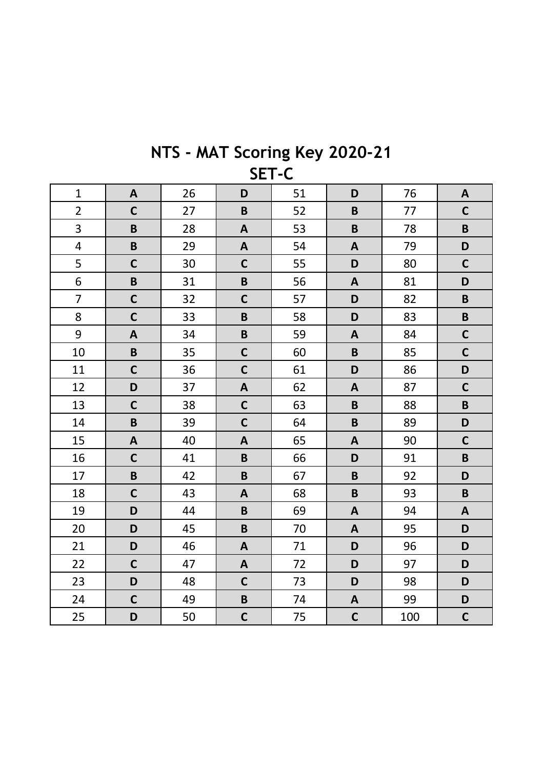| $\mathbf{1}$            | $\mathbf{A}$ | 26 | D                         | 51 | D                         | 76  | $\mathbf{A}$              |  |
|-------------------------|--------------|----|---------------------------|----|---------------------------|-----|---------------------------|--|
| $\overline{2}$          | $\mathbf C$  | 27 | $\mathbf B$               | 52 | $\mathsf B$               | 77  | $\mathbf C$               |  |
| 3                       | $\pmb B$     | 28 | $\mathbf{A}$              | 53 | $\mathsf B$               | 78  | $\pmb B$                  |  |
| $\overline{\mathbf{4}}$ | $\mathbf B$  | 29 | $\boldsymbol{\mathsf{A}}$ | 54 | $\boldsymbol{\mathsf{A}}$ | 79  | D                         |  |
| 5                       | $\mathbf C$  | 30 | $\mathsf{C}$              | 55 | D                         | 80  | $\mathbf C$               |  |
| 6                       | $\mathbf B$  | 31 | $\mathbf B$               | 56 | $\boldsymbol{\mathsf{A}}$ | 81  | D                         |  |
| $\overline{7}$          | $\mathbf C$  | 32 | $\mathsf{C}$              | 57 | D                         | 82  | $\pmb B$                  |  |
| 8                       | $\mathbf C$  | 33 | $\mathbf B$               | 58 | D                         | 83  | $\pmb B$                  |  |
| 9                       | $\mathbf{A}$ | 34 | $\pmb B$                  | 59 | $\mathbf{A}$              | 84  | $\mathbf C$               |  |
| 10                      | $\pmb B$     | 35 | $\mathsf{C}$              | 60 | $\mathsf B$               | 85  | $\mathbf C$               |  |
| 11                      | $\mathbf C$  | 36 | $\mathsf{C}$              | 61 | D                         | 86  | D                         |  |
| 12                      | D            | 37 | $\boldsymbol{\mathsf{A}}$ | 62 | $\mathbf{A}$              | 87  | $\mathbf C$               |  |
| 13                      | $\mathbf C$  | 38 | $\mathsf{C}$              | 63 | $\mathsf B$               | 88  | $\pmb B$                  |  |
| 14                      | $\pmb B$     | 39 | $\mathbf C$               | 64 | $\overline{\mathsf{B}}$   | 89  | D                         |  |
| 15                      | $\mathbf{A}$ | 40 | $\mathbf{A}$              | 65 | $\mathbf{A}$              | 90  | $\mathbf C$               |  |
| 16                      | $\mathbf C$  | 41 | $\pmb B$                  | 66 | D                         | 91  | $\pmb B$                  |  |
| 17                      | $\pmb B$     | 42 | $\mathbf B$               | 67 | $\mathsf B$               | 92  | D                         |  |
| 18                      | $\mathbf C$  | 43 | $\boldsymbol{\mathsf{A}}$ | 68 | $\mathsf B$               | 93  | $\pmb B$                  |  |
| 19                      | D            | 44 | $\mathbf B$               | 69 | $\boldsymbol{\mathsf{A}}$ | 94  | $\boldsymbol{\mathsf{A}}$ |  |
| 20                      | D            | 45 | $\pmb B$                  | 70 | $\boldsymbol{\mathsf{A}}$ | 95  | D                         |  |
| 21                      | D            | 46 | $\boldsymbol{\mathsf{A}}$ | 71 | D                         | 96  | D                         |  |
| 22                      | $\mathsf{C}$ | 47 | $\boldsymbol{\mathsf{A}}$ | 72 | D                         | 97  | D                         |  |
| 23                      | D            | 48 | $\mathsf{C}$              | 73 | D                         | 98  | D                         |  |
| 24                      | $\mathsf{C}$ | 49 | $\mathbf B$               | 74 | $\mathbf{A}$              | 99  | D                         |  |
| 25                      | D            | 50 | $\mathsf{C}$              | 75 | $\mathsf{C}$              | 100 | $\mathbf C$               |  |

NTS - MAT Scoring Key 2020-21 SET-C